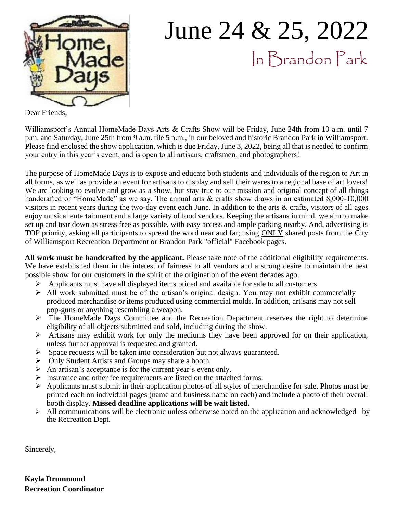

# June 24 & 25, 2022 In Brandon Park

Dear Friends,

Williamsport's Annual HomeMade Days Arts & Crafts Show will be Friday, June 24th from 10 a.m. until 7 p.m. and Saturday, June 25th from 9 a.m. tile 5 p.m., in our beloved and historic Brandon Park in Williamsport. Please find enclosed the show application, which is due Friday, June 3, 2022, being all that is needed to confirm your entry in this year's event, and is open to all artisans, craftsmen, and photographers!

The purpose of HomeMade Days is to expose and educate both students and individuals of the region to Art in all forms, as well as provide an event for artisans to display and sell their wares to a regional base of art lovers! We are looking to evolve and grow as a show, but stay true to our mission and original concept of all things handcrafted or "HomeMade" as we say. The annual arts & crafts show draws in an estimated 8,000-10,000 visitors in recent years during the two-day event each June. In addition to the arts & crafts, visitors of all ages enjoy musical entertainment and a large variety of food vendors. Keeping the artisans in mind, we aim to make set up and tear down as stress free as possible, with easy access and ample parking nearby. And, advertising is TOP priority, asking all participants to spread the word near and far; using **ONLY** shared posts from the City of Williamsport Recreation Department or Brandon Park "official" Facebook pages.

**All work must be handcrafted by the applicant.** Please take note of the additional eligibility requirements. We have established them in the interest of fairness to all vendors and a strong desire to maintain the best possible show for our customers in the spirit of the origination of the event decades ago.

- ➢ Applicants must have all displayed items priced and available for sale to all customers
- ➢ All work submitted must be of the artisan's original design. You may not exhibit commercially produced merchandise or items produced using commercial molds. In addition, artisans may not sell pop-guns or anything resembling a weapon.
- ➢ The HomeMade Days Committee and the Recreation Department reserves the right to determine eligibility of all objects submitted and sold, including during the show.
- ➢ Artisans may exhibit work for only the mediums they have been approved for on their application, unless further approval is requested and granted.
- $\triangleright$  Space requests will be taken into consideration but not always guaranteed.
- ➢ Only Student Artists and Groups may share a booth.
- ➢ An artisan's acceptance is for the current year's event only.
- ➢ Insurance and other fee requirements are listed on the attached forms.
- ➢ Applicants must submit in their application photos of all styles of merchandise for sale. Photos must be printed each on individual pages (name and business name on each) and include a photo of their overall booth display. **Missed deadline applications will be wait listed.**
- $\triangleright$  All communications will be electronic unless otherwise noted on the application and acknowledged by the Recreation Dept.

Sincerely,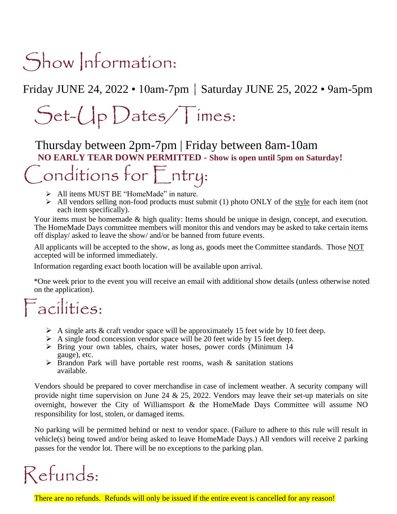# Show Information:

Friday JUNE 24, 2022 • 10am-7pm | Saturday JUNE 25, 2022 • 9am-5pm

# Set-Up Dates/Times:

Thursday between 2pm-7pm | Friday between 8am-10am **NO EARLY TEAR DOWN PERMITTED - Show is open until 5pm on Saturday!** 

## Conditions for Entry:

- ➢ All items MUST BE "HomeMade" in nature.
- $\triangleright$  All vendors selling non-food products must submit (1) photo ONLY of the style for each item (not each item specifically).

Your items must be homemade & high quality: Items should be unique in design, concept, and execution. The HomeMade Days committee members will monitor this and vendors may be asked to take certain items off display/ asked to leave the show/ and/or be banned from future events.

All applicants will be accepted to the show, as long as, goods meet the Committee standards. Those NOT accepted will be informed immediately.

Information regarding exact booth location will be available upon arrival.

\*One week prior to the event you will receive an email with additional show details (unless otherwise noted on the application).

### Facilities:

- $\triangleright$  A single arts & craft vendor space will be approximately 15 feet wide by 10 feet deep.
- $\triangleright$  A single food concession vendor space will be 20 feet wide by 15 feet deep.
- ➢ Bring your own tables, chairs, water hoses, power cords (Minimum 14 gauge), etc.
- ➢ Brandon Park will have portable rest rooms, wash & sanitation stations available.

Vendors should be prepared to cover merchandise in case of inclement weather. A security company will provide night time supervision on June 24  $\&$  25, 2022. Vendors may leave their set-up materials on site overnight, however the City of Williamsport & the HomeMade Days Committee will assume NO responsibility for lost, stolen, or damaged items.

No parking will be permitted behind or next to vendor space. (Failure to adhere to this rule will result in vehicle(s) being towed and/or being asked to leave HomeMade Days.) All vendors will receive 2 parking passes for the vendor lot. There will be no exceptions to the parking plan.

## Refunds:

There are no refunds. Refunds will only be issued if the entire event is cancelled for any reason!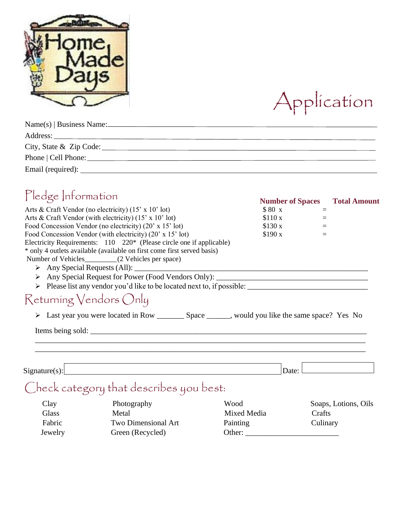



| Name(s)   Business Name: |
|--------------------------|
|                          |
| City, State & Zip Code:  |
|                          |
|                          |

### Pledge Information **Number of Spaces** Total Amount

|                                                                         |         | Number of Spaces 1 otal Amoun |
|-------------------------------------------------------------------------|---------|-------------------------------|
| Arts & Craft Vendor (no electricity) (15' x 10' lot)                    | \$80x   |                               |
| Arts & Craft Vendor (with electricity) $(15' \times 10' \text{ lot})$   | \$110x  |                               |
| Food Concession Vendor (no electricity) (20' x 15' lot)                 | \$130 x |                               |
| Food Concession Vendor (with electricity) (20' x 15' lot)               | \$190 x |                               |
| Electricity Requirements: 110 220* (Please circle one if applicable)    |         |                               |
| * only 4 outlets available (available on first come first served basis) |         |                               |
| Number of Vehicles___________(2 Vehicles per space)                     |         |                               |
|                                                                         |         |                               |
|                                                                         |         |                               |
|                                                                         |         |                               |
| Returning Vendors Only                                                  |         |                               |
|                                                                         |         |                               |
|                                                                         |         |                               |
| Signature(s):                                                           |         | Date:                         |
|                                                                         |         |                               |
| Check category that describes you best:                                 |         |                               |
| <b>W</b> ood                                                            |         | Soans Lotions Oils            |

| Clay    | Photography         | Wood        | Soaps, Lotions, Oils |
|---------|---------------------|-------------|----------------------|
| Glass   | Metal               | Mixed Media | Crafts               |
| Fabric  | Two Dimensional Art | Painting    | Culinary             |
| Jewelry | Green (Recycled)    | Other:      |                      |